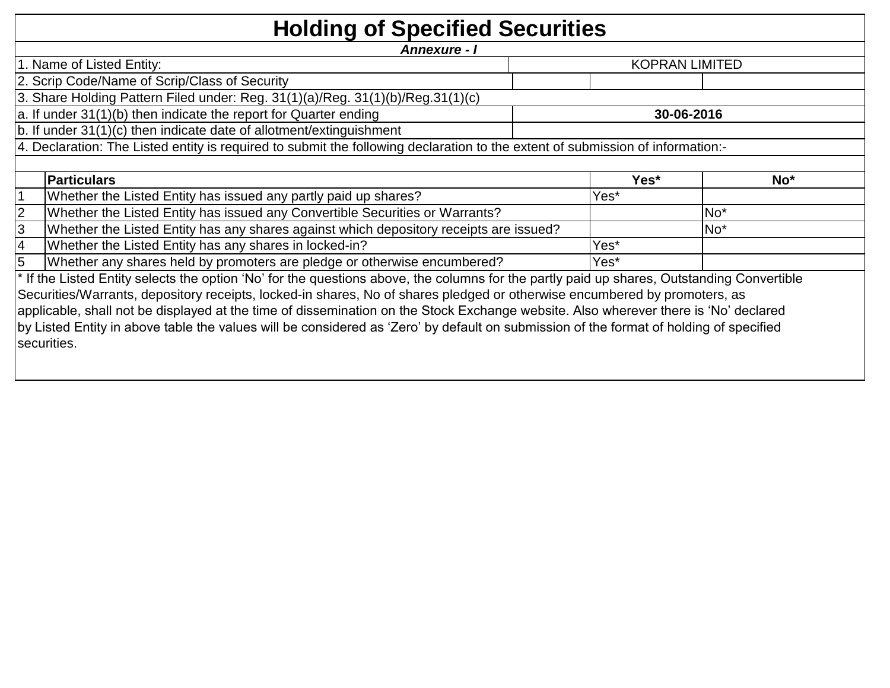| <b>Holding of Specified Securities</b>                                                                                                     |      |                       |
|--------------------------------------------------------------------------------------------------------------------------------------------|------|-----------------------|
| Annexure - I                                                                                                                               |      |                       |
| 1. Name of Listed Entity:                                                                                                                  |      | <b>KOPRAN LIMITED</b> |
| 2. Scrip Code/Name of Scrip/Class of Security                                                                                              |      |                       |
| 3. Share Holding Pattern Filed under: Reg. 31(1)(a)/Reg. 31(1)(b)/Reg.31(1)(c)                                                             |      |                       |
| a. If under 31(1)(b) then indicate the report for Quarter ending                                                                           |      | 30-06-2016            |
| b. If under 31(1)(c) then indicate date of allotment/extinguishment                                                                        |      |                       |
| 4. Declaration: The Listed entity is required to submit the following declaration to the extent of submission of information:-             |      |                       |
|                                                                                                                                            |      |                       |
| <b>Particulars</b>                                                                                                                         | Yes* | $No*$                 |
| Whether the Listed Entity has issued any partly paid up shares?                                                                            | Yes* |                       |
| $\overline{2}$<br>Whether the Listed Entity has issued any Convertible Securities or Warrants?                                             |      | No <sup>*</sup>       |
| 3<br>Whether the Listed Entity has any shares against which depository receipts are issued?                                                |      | No <sup>*</sup>       |
| 4<br>Whether the Listed Entity has any shares in locked-in?                                                                                | Yes* |                       |
| 5<br>Whether any shares held by promoters are pledge or otherwise encumbered?                                                              | Yes* |                       |
| * If the Listed Entity selects the option 'No' for the questions above, the columns for the partly paid up shares, Outstanding Convertible |      |                       |
| Securities/Warrants, depository receipts, locked-in shares, No of shares pledged or otherwise encumbered by promoters, as                  |      |                       |
| applicable, shall not be displayed at the time of dissemination on the Stock Exchange website. Also wherever there is 'No' declared        |      |                       |
| by Listed Entity in above table the values will be considered as 'Zero' by default on submission of the format of holding of specified     |      |                       |
| securities.                                                                                                                                |      |                       |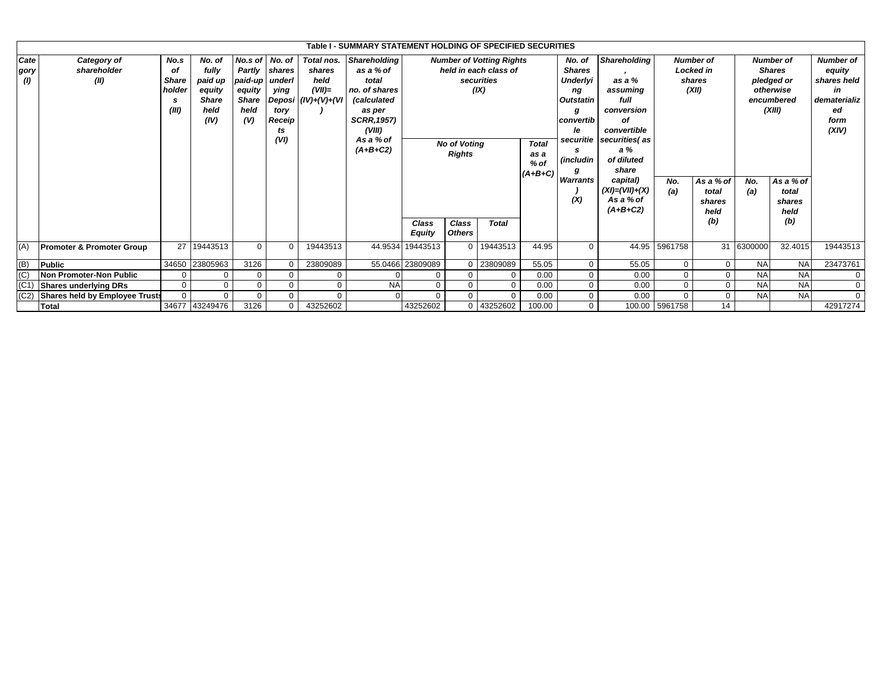|                     |                                      |                                                    |                                                                      |                                                               |                                                                           |                                                                    | Table I - SUMMARY STATEMENT HOLDING OF SPECIFIED SECURITIES                                                                                    |                        |                                      |                                                                                |                                             |                                                                                                                                 |                                                                                                                                    |                                      |                                                         |                                                                                      |           |                                                                                        |
|---------------------|--------------------------------------|----------------------------------------------------|----------------------------------------------------------------------|---------------------------------------------------------------|---------------------------------------------------------------------------|--------------------------------------------------------------------|------------------------------------------------------------------------------------------------------------------------------------------------|------------------------|--------------------------------------|--------------------------------------------------------------------------------|---------------------------------------------|---------------------------------------------------------------------------------------------------------------------------------|------------------------------------------------------------------------------------------------------------------------------------|--------------------------------------|---------------------------------------------------------|--------------------------------------------------------------------------------------|-----------|----------------------------------------------------------------------------------------|
| Cate<br>gory<br>(1) | Category of<br>shareholder<br>(II)   | No.s<br>οf<br><b>Share</b><br>holder<br>s<br>(III) | No. of<br>fully<br>paid up<br>equity<br><b>Share</b><br>held<br>(IV) | No.s of I<br>paid-up<br>equity<br><b>Share</b><br>held<br>(V) | No. of<br>Partly shares<br>underl<br>ying<br>tory<br>Receip<br>ts<br>(VI) | Total nos.<br>shares<br>held<br>$(VII)=$<br>Deposi $(IV)+(V)+(VI)$ | <b>Shareholding</b><br>as a % of<br>total<br>no, of shares<br>(calculated<br>as per<br><b>SCRR, 1957)</b><br>(VIII)<br>As a % of<br>$(A+B+C2)$ |                        | <b>No of Voting</b><br><b>Rights</b> | <b>Number of Votting Rights</b><br>held in each class of<br>securities<br>(IX) | <b>Total</b><br>as a<br>$%$ of<br>$(A+B+C)$ | No. of<br><b>Shares</b><br><b>Underlyi</b><br>ng<br><b>Outstatin</b><br>g<br>convertib<br>le<br>securitie<br><i>(includin</i> ) | <b>Shareholding</b><br>as a %<br>assuming<br>full<br>conversion<br>οf<br>convertible<br>securities(as<br>a%<br>of diluted<br>share |                                      | <b>Number of</b><br><b>Locked</b> in<br>shares<br>(XII) | <b>Number of</b><br><b>Shares</b><br>pledged or<br>otherwise<br>encumbered<br>(XIII) |           | <b>Number of</b><br>equity<br>shares held<br>in<br>dematerializ<br>ed<br>form<br>(XIV) |
|                     |                                      |                                                    |                                                                      |                                                               |                                                                           |                                                                    |                                                                                                                                                |                        |                                      |                                                                                | Warrants<br>(X)                             | capital)<br>$(XI) = (VII) + (X)$<br>As a % of<br>$(A+B+C2)$                                                                     | No.<br>(a)                                                                                                                         | As a % of<br>total<br>shares<br>held | No.<br>(a)                                              | As a % of<br>total<br>shares<br>held                                                 |           |                                                                                        |
|                     |                                      |                                                    |                                                                      |                                                               |                                                                           |                                                                    |                                                                                                                                                | Class<br><b>Equity</b> | Class<br><b>Others</b>               | <b>Total</b>                                                                   |                                             |                                                                                                                                 |                                                                                                                                    |                                      | (b)                                                     |                                                                                      | (b)       |                                                                                        |
| (A)                 | <b>Promoter &amp; Promoter Group</b> | 27                                                 | 19443513                                                             | $\mathbf 0$                                                   | $\Omega$                                                                  | 19443513                                                           |                                                                                                                                                | 44.9534 19443513       |                                      | 0 19443513                                                                     | 44.95                                       | $\Omega$                                                                                                                        |                                                                                                                                    | 44.95 5961758                        |                                                         | 31 6300000                                                                           | 32.4015   | 19443513                                                                               |
| (B)                 | <b>Public</b>                        |                                                    | 34650 23805963                                                       | 3126                                                          | $\Omega$                                                                  | 23809089                                                           |                                                                                                                                                | 55.0466 23809089       | $\Omega$                             | 23809089                                                                       | 55.05                                       | $\Omega$                                                                                                                        | 55.05                                                                                                                              | $\Omega$                             | $\Omega$                                                | <b>NA</b>                                                                            | <b>NA</b> | 23473761                                                                               |
| (C)                 | Non Promoter-Non Public              |                                                    | $\Omega$                                                             | 0                                                             | $\mathbf{0}$                                                              | 0                                                                  |                                                                                                                                                | $\Omega$               | $\Omega$                             |                                                                                | 0.00                                        | $\Omega$                                                                                                                        | 0.00                                                                                                                               | $\mathbf 0$                          | $\Omega$                                                | <b>NA</b>                                                                            | <b>NA</b> | $\mathbf{0}$                                                                           |
| (C1)                | Shares underlying DRs                | $\Omega$                                           | $\mathbf 0$                                                          | $\mathbf 0$                                                   | 0                                                                         | 0                                                                  | <b>NA</b>                                                                                                                                      | $\Omega$               | $\Omega$                             |                                                                                | 0.00                                        |                                                                                                                                 | 0.00                                                                                                                               | $\Omega$                             | $\Omega$                                                | <b>NA</b>                                                                            | <b>NA</b> | 0                                                                                      |
|                     | (C2) Shares held by Employee Trusts  |                                                    | $\Omega$                                                             | $\Omega$                                                      | 0                                                                         | $\Omega$                                                           |                                                                                                                                                | $\Omega$               | $\Omega$                             | $\Omega$                                                                       | 0.00                                        |                                                                                                                                 | 0.00                                                                                                                               | $\Omega$                             | $\mathbf 0$                                             | <b>NA</b>                                                                            | <b>NA</b> | $\mathbf{0}$                                                                           |
|                     | <b>Total</b>                         |                                                    | 34677 43249476                                                       | 3126                                                          | $\Omega$                                                                  | 43252602                                                           |                                                                                                                                                | 43252602               |                                      | 0 43252602                                                                     | 100.00                                      | $\Omega$                                                                                                                        |                                                                                                                                    | 100.00 5961758                       | 14                                                      |                                                                                      |           | 42917274                                                                               |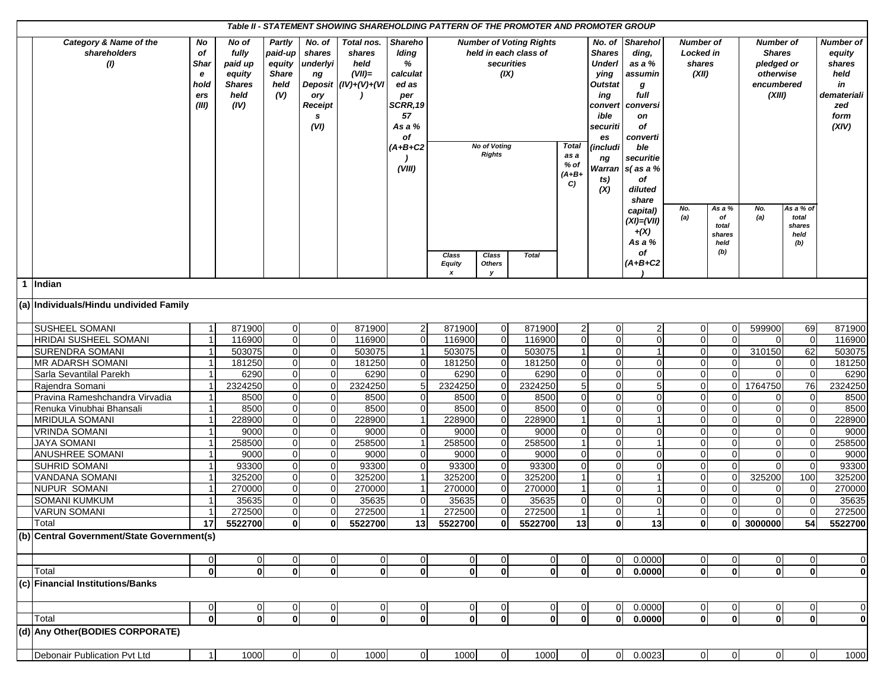|                                               |                                               |                                                                      |                                                            |                                                                   | Table II - STATEMENT SHOWING SHAREHOLDING PATTERN OF THE PROMOTER AND PROMOTER GROUP |                                                                                                                   |                                            |                                                            |                                                         |                                        |                                                                                                                                                          |                                                                                                                                                             |                                           |                         |                                                                                      |                       |                                                                                    |
|-----------------------------------------------|-----------------------------------------------|----------------------------------------------------------------------|------------------------------------------------------------|-------------------------------------------------------------------|--------------------------------------------------------------------------------------|-------------------------------------------------------------------------------------------------------------------|--------------------------------------------|------------------------------------------------------------|---------------------------------------------------------|----------------------------------------|----------------------------------------------------------------------------------------------------------------------------------------------------------|-------------------------------------------------------------------------------------------------------------------------------------------------------------|-------------------------------------------|-------------------------|--------------------------------------------------------------------------------------|-----------------------|------------------------------------------------------------------------------------|
| Category & Name of the<br>shareholders<br>(1) | No<br>of<br>Shar<br>e<br>hold<br>ers<br>(III) | No of<br>fully<br>paid up<br>equity<br><b>Shares</b><br>held<br>(IV) | Partly<br>paid-up<br>equity<br><b>Share</b><br>held<br>(V) | No. of<br>shares<br>underlyi<br>ng<br>ory<br>Receipt<br>s<br>(VI) | Total nos.<br>shares<br>held<br>$(VII)=$<br>Deposit $(IV)+(V)+(VI)$                  | <b>Shareho</b><br>Iding<br>%<br>calculat<br>ed as<br>per<br>SCRR, 19<br>57<br>As a %<br>оf<br>$(A+B+C2$<br>(VIII) |                                            | securities<br>(IX)<br><b>No of Voting</b><br><b>Rights</b> | <b>Number of Voting Rights</b><br>held in each class of | Total<br>as a<br>% of<br>$(A+B+$<br>C) | No. of<br><b>Shares</b><br><b>Underl</b><br>ying<br><b>Outstat</b><br>ing<br>convert<br>ible<br>securiti<br>es<br>(includi<br>ng<br>Warran<br>ts)<br>(X) | <b>Sharehol</b><br>ding,<br>as a %<br>assumin<br>g<br>full<br>conversi<br>on<br>οf<br>converti<br>ble<br>securitie<br>$s$ (as a %<br>of<br>diluted<br>share | Number of<br>Locked in<br>shares<br>(XII) |                         | <b>Number of</b><br><b>Shares</b><br>pledged or<br>otherwise<br>encumbered<br>(XIII) |                       | Number of<br>equity<br>shares<br>held<br>in<br>demateriali<br>zed<br>form<br>(XIV) |
|                                               |                                               |                                                                      |                                                            |                                                                   |                                                                                      |                                                                                                                   |                                            |                                                            |                                                         |                                        |                                                                                                                                                          | capital)<br>$(XI) = (VII)$                                                                                                                                  | No.<br>(a)                                | As a %<br>of            | No.<br>(a)                                                                           | As a % of<br>total    |                                                                                    |
|                                               |                                               |                                                                      |                                                            |                                                                   |                                                                                      |                                                                                                                   |                                            |                                                            |                                                         |                                        |                                                                                                                                                          | $+(X)$<br>As a %                                                                                                                                            |                                           | total<br>shares<br>held |                                                                                      | shares<br>held<br>(b) |                                                                                    |
|                                               |                                               |                                                                      |                                                            |                                                                   |                                                                                      |                                                                                                                   | Class<br><b>Equity</b><br>$\boldsymbol{x}$ | Class<br>Others<br>У                                       | <b>Total</b>                                            |                                        |                                                                                                                                                          | οf<br>$(A+B+C2$                                                                                                                                             |                                           | (b)                     |                                                                                      |                       |                                                                                    |
| 1 Indian                                      |                                               |                                                                      |                                                            |                                                                   |                                                                                      |                                                                                                                   |                                            |                                                            |                                                         |                                        |                                                                                                                                                          |                                                                                                                                                             |                                           |                         |                                                                                      |                       |                                                                                    |
| (a) Individuals/Hindu undivided Family        |                                               |                                                                      |                                                            |                                                                   |                                                                                      |                                                                                                                   |                                            |                                                            |                                                         |                                        |                                                                                                                                                          |                                                                                                                                                             |                                           |                         |                                                                                      |                       |                                                                                    |
| <b>SUSHEEL SOMANI</b>                         | $\mathbf{1}$                                  | 871900                                                               | $\overline{0}$                                             | $\overline{0}$                                                    | 871900                                                                               | $\overline{c}$                                                                                                    | 871900                                     | $\overline{0}$                                             | 871900                                                  | $\overline{2}$                         | $\mathbf 0$                                                                                                                                              | 2                                                                                                                                                           | $\overline{0}$                            | $\Omega$                | 599900                                                                               | 69                    | 871900                                                                             |
| <b>HRIDAI SUSHEEL SOMANI</b>                  |                                               | 116900                                                               | $\overline{0}$                                             | $\Omega$                                                          | 116900                                                                               | $\mathbf 0$                                                                                                       | 116900                                     | $\mathbf 0$                                                | 116900                                                  | $\mathbf 0$                            | $\overline{0}$                                                                                                                                           | $\Omega$                                                                                                                                                    | $\mathbf 0$                               | $\Omega$                | 0                                                                                    | $\Omega$              | 116900                                                                             |
| <b>SURENDRA SOMANI</b>                        |                                               | 503075                                                               | $\overline{0}$                                             | $\mathbf 0$                                                       | 503075                                                                               | $\overline{1}$                                                                                                    | 503075                                     | $\mathbf 0$                                                | 503075                                                  | $\overline{1}$                         | $\mathbf 0$                                                                                                                                              | $\mathbf 1$                                                                                                                                                 | $\mathbf 0$                               | $\Omega$                | 310150                                                                               | 62                    | 503075                                                                             |
| <b>MR ADARSH SOMANI</b>                       | $\mathbf 1$                                   | 181250                                                               | $\overline{0}$                                             | $\mathbf 0$                                                       | 181250                                                                               | $\overline{0}$                                                                                                    | 181250                                     | $\overline{0}$                                             | 181250                                                  | $\mathbf 0$                            | $\mathbf 0$                                                                                                                                              | $\Omega$                                                                                                                                                    | $\mathbf 0$                               | $\Omega$                | $\Omega$                                                                             | $\mathbf 0$           | 181250                                                                             |
| Sarla Sevantilal Parekh                       |                                               | 6290                                                                 | $\mathbf 0$                                                | $\Omega$                                                          | 6290                                                                                 | 0                                                                                                                 | 6290                                       | $\pmb{0}$                                                  | 6290                                                    | $\mathbf 0$                            | $\overline{0}$                                                                                                                                           | $\Omega$                                                                                                                                                    | $\mathbf 0$                               | $\Omega$                | $\Omega$                                                                             | $\Omega$              | 6290                                                                               |
| Rajendra Somani                               |                                               | 2324250                                                              | $\overline{0}$                                             | $\mathbf 0$                                                       | 2324250                                                                              | $\,$ 5 $\,$                                                                                                       | 2324250                                    | $\mathbf 0$                                                | 2324250                                                 | 5                                      | $\mathbf 0$                                                                                                                                              | 5 <sup>1</sup>                                                                                                                                              | $\overline{0}$                            | $\Omega$                | 1764750                                                                              | 76                    | 2324250                                                                            |
| Pravina Rameshchandra Virvadia                |                                               | 8500                                                                 | $\Omega$                                                   | $\mathbf 0$                                                       | 8500                                                                                 | $\mathbf 0$                                                                                                       | 8500                                       | $\mathbf 0$                                                | 8500                                                    | $\Omega$                               | $\mathbf 0$                                                                                                                                              | $\Omega$                                                                                                                                                    | $\mathbf 0$                               | $\Omega$                | 0                                                                                    | $\Omega$              | 8500                                                                               |
| Renuka Vinubhai Bhansali                      |                                               | 8500                                                                 | $\overline{0}$                                             | $\mathbf 0$                                                       | 8500                                                                                 | $\overline{0}$                                                                                                    | 8500                                       | $\mathbf 0$                                                | 8500                                                    | $\mathbf 0$                            | $\mathbf 0$                                                                                                                                              | $\mathbf 0$                                                                                                                                                 | $\mathbf 0$                               | $\Omega$                | $\overline{0}$                                                                       | $\mathbf 0$           | 8500                                                                               |
| <b>MRIDULA SOMANI</b>                         |                                               | 228900                                                               | $\overline{0}$                                             | $\overline{0}$                                                    | 228900                                                                               | $\mathbf{1}$                                                                                                      | 228900                                     | $\mathbf 0$                                                | 228900                                                  | $\overline{1}$                         | $\mathbf 0$                                                                                                                                              | $\mathbf{1}$                                                                                                                                                | $\overline{0}$                            | $\Omega$                | $\mathbf 0$                                                                          | $\mathbf 0$           | 228900                                                                             |
| <b>VRINDA SOMANI</b>                          |                                               | 9000                                                                 | $\overline{0}$                                             | $\Omega$                                                          | 9000                                                                                 | $\mathbf 0$                                                                                                       | 9000                                       | $\mathbf 0$                                                | 9000                                                    | $\Omega$                               | $\overline{0}$                                                                                                                                           | $\Omega$                                                                                                                                                    | $\mathbf 0$                               | $\Omega$                | $\Omega$                                                                             | $\Omega$              | 9000                                                                               |
| <b>JAYA SOMANI</b>                            |                                               | 258500                                                               | $\overline{0}$                                             | $\mathbf 0$                                                       | 258500                                                                               | $\mathbf{1}$                                                                                                      | 258500                                     | $\mathbf 0$                                                | 258500                                                  | $\overline{1}$                         | $\Omega$                                                                                                                                                 | $\mathbf{1}$                                                                                                                                                | $\overline{0}$                            | $\Omega$                | $\Omega$                                                                             | $\Omega$              | 258500                                                                             |
| <b>ANUSHREE SOMANI</b>                        |                                               | 9000                                                                 | $\Omega$                                                   | $\mathbf 0$                                                       | 9000                                                                                 | $\overline{0}$                                                                                                    | 9000                                       | $\mathbf 0$                                                | 9000                                                    | $\mathbf 0$                            | $\overline{0}$                                                                                                                                           | $\Omega$                                                                                                                                                    | $\mathbf 0$                               | $\Omega$                | $\Omega$                                                                             | $\Omega$              | 9000                                                                               |
| <b>SUHRID SOMANI</b>                          |                                               | 93300                                                                | $\overline{0}$                                             | $\mathbf 0$                                                       | 93300                                                                                | $\overline{0}$                                                                                                    | 93300                                      | $\mathbf 0$                                                | 93300                                                   | $\mathbf 0$                            | $\mathbf 0$                                                                                                                                              | $\mathbf 0$                                                                                                                                                 | $\mathbf 0$                               | $\Omega$                | $\Omega$                                                                             | $\mathbf 0$           | 93300                                                                              |
| VANDANA SOMANI                                | $\mathbf 1$                                   | 325200                                                               | $\Omega$                                                   | $\mathbf 0$                                                       | 325200                                                                               | $\mathbf{1}$                                                                                                      | 325200                                     | $\overline{0}$                                             | 325200                                                  | $\overline{1}$                         | $\mathbf 0$                                                                                                                                              |                                                                                                                                                             | $\mathbf 0$                               | $\Omega$                | 325200                                                                               | 100                   | 325200                                                                             |
| <b>NUPUR SOMANI</b>                           |                                               | 270000                                                               | $\overline{0}$                                             | $\Omega$                                                          | 270000                                                                               | $\mathbf 1$                                                                                                       | 270000                                     | $\mathbf 0$                                                | 270000                                                  |                                        | $\overline{0}$                                                                                                                                           |                                                                                                                                                             | $\mathbf 0$                               | $\Omega$                | 0                                                                                    | $\Omega$              | 270000                                                                             |
| <b>SOMANI KUMKUM</b>                          |                                               | 35635                                                                | $\overline{0}$                                             | $\mathbf 0$                                                       | 35635                                                                                | $\overline{0}$                                                                                                    | 35635                                      | $\overline{0}$                                             | 35635                                                   | $\mathbf 0$                            | $\mathbf 0$                                                                                                                                              | $\mathbf 0$                                                                                                                                                 | $\mathbf 0$                               | $\Omega$                | $\Omega$                                                                             | $\Omega$              | 35635                                                                              |
| <b>VARUN SOMANI</b>                           |                                               | 272500                                                               | $\Omega$                                                   | $\mathbf 0$                                                       | 272500                                                                               | $\mathbf{1}$                                                                                                      | 272500                                     | $\mathbf 0$                                                | 272500                                                  | $\overline{1}$                         | $\mathbf 0$                                                                                                                                              | $\mathbf{1}$                                                                                                                                                | $\mathbf 0$                               | $\Omega$                | $\Omega$                                                                             | $\Omega$              | 272500                                                                             |
| Total                                         | 17                                            | 5522700                                                              | <sub>0</sub>                                               | ΩI                                                                | 5522700                                                                              | 13 <sup>1</sup>                                                                                                   | 5522700                                    | $\mathbf{0}$                                               | 5522700                                                 | 13                                     | $\mathbf{0}$                                                                                                                                             | 13                                                                                                                                                          | $\mathbf{0}$                              | $\mathbf{0}$            | 3000000                                                                              | 54                    | 5522700                                                                            |
| (b) Central Government/State Government(s)    |                                               |                                                                      |                                                            |                                                                   |                                                                                      |                                                                                                                   |                                            |                                                            |                                                         |                                        |                                                                                                                                                          |                                                                                                                                                             |                                           |                         |                                                                                      |                       |                                                                                    |
|                                               | 0                                             | 0                                                                    | $\overline{0}$                                             | $\overline{0}$                                                    | 0                                                                                    | $\overline{0}$                                                                                                    | $\overline{0}$                             | 0                                                          | $\overline{0}$                                          | 0                                      | -0                                                                                                                                                       | 0.0000                                                                                                                                                      | $\overline{0}$                            |                         | 0                                                                                    | 0                     | $\mathbf 0$                                                                        |
| Total                                         | $\mathbf{0}$                                  | $\mathbf{0}$                                                         | $\mathbf{0}$                                               | $\mathbf{0}$                                                      | $\overline{0}$                                                                       | $\overline{0}$                                                                                                    | $\mathbf{0}$                               | $\mathbf{0}$                                               | $\mathbf{0}$                                            | $\mathbf{0}$                           | $\mathbf{0}$                                                                                                                                             | 0.0000                                                                                                                                                      | $\overline{\bullet}$                      | $\mathbf{0}$            | $\mathbf{0}$                                                                         | $\mathbf 0$           | $\mathbf{0}$                                                                       |
| (c) Financial Institutions/Banks              |                                               |                                                                      |                                                            |                                                                   |                                                                                      |                                                                                                                   |                                            |                                                            |                                                         |                                        |                                                                                                                                                          |                                                                                                                                                             |                                           |                         |                                                                                      |                       |                                                                                    |
|                                               | 0                                             | 0                                                                    | $\overline{0}$                                             | $\overline{0}$                                                    | 0                                                                                    | 0                                                                                                                 | $\overline{0}$                             | 0                                                          | $\overline{0}$                                          | 0                                      | $\mathbf 0$                                                                                                                                              | 0.0000                                                                                                                                                      | $\overline{0}$                            |                         | $\overline{0}$                                                                       | 0                     | $\overline{0}$                                                                     |
| Total                                         | $\mathbf{0}$                                  | $\mathbf{0}$                                                         | $\mathbf{0}$                                               | $\mathbf{0}$                                                      | $\overline{0}$                                                                       | $\overline{0}$                                                                                                    | $\overline{\mathbf{0}}$                    | $\pmb{0}$                                                  | $\mathbf{0}$                                            | $\mathbf 0$                            | $\mathbf{0}$                                                                                                                                             | 0.0000                                                                                                                                                      | $\overline{\mathbf{0}}$                   | $\mathbf{0}$            | $\mathbf{0}$                                                                         | $\mathbf{0}$          | $\mathbf{0}$                                                                       |
| (d) Any Other (BODIES CORPORATE)              |                                               |                                                                      |                                                            |                                                                   |                                                                                      |                                                                                                                   |                                            |                                                            |                                                         |                                        |                                                                                                                                                          |                                                                                                                                                             |                                           |                         |                                                                                      |                       |                                                                                    |
| Debonair Publication Pvt Ltd                  |                                               | 1000                                                                 | $\overline{0}$                                             | $\overline{0}$                                                    | 1000                                                                                 | $\overline{0}$                                                                                                    | 1000                                       | $\overline{0}$                                             | 1000                                                    | $\overline{0}$                         | $\overline{0}$                                                                                                                                           | 0.0023                                                                                                                                                      | $\overline{0}$                            | $\overline{0}$          | $\overline{0}$                                                                       | $\overline{0}$        | 1000                                                                               |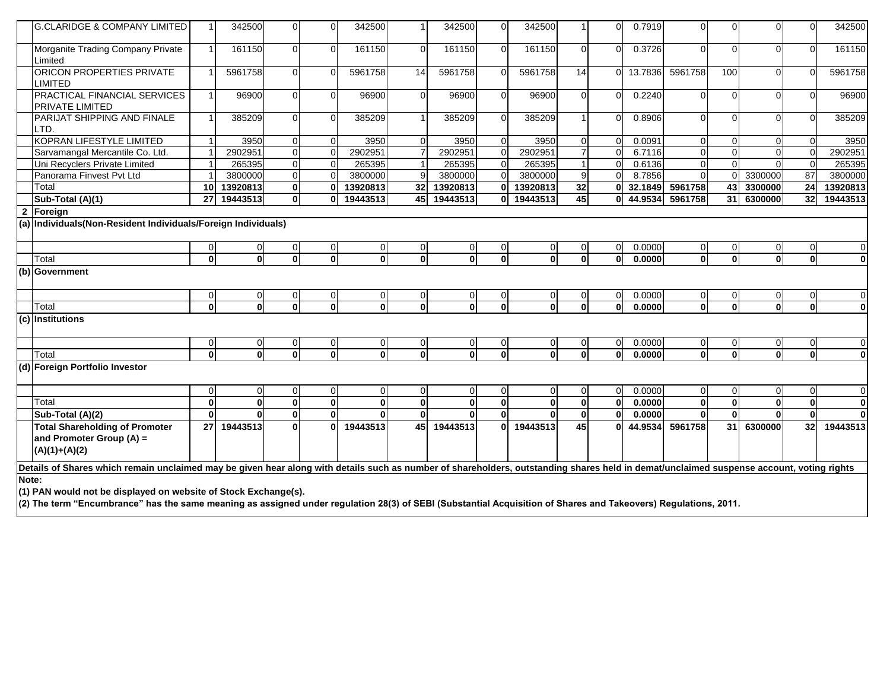| <b>G.CLARIDGE &amp; COMPANY LIMITED</b>                                                                                                                                                  |          | 342500         | $\Omega$       | $\Omega$     | 342500         |                | 342500         | 0              | 342500         |             | $\Omega$       | 0.7919  | $\mathbf 0$             |              | $\Omega$     | $\Omega$     | 342500         |
|------------------------------------------------------------------------------------------------------------------------------------------------------------------------------------------|----------|----------------|----------------|--------------|----------------|----------------|----------------|----------------|----------------|-------------|----------------|---------|-------------------------|--------------|--------------|--------------|----------------|
| Morganite Trading Company Private<br>Limited                                                                                                                                             |          | 161150         | $\Omega$       | $\Omega$     | 161150         | $\Omega$       | 161150         | $\overline{0}$ | 161150         | $\Omega$    | $\Omega$       | 0.3726  | $\Omega$                |              | $\Omega$     | $\Omega$     | 161150         |
| ORICON PROPERTIES PRIVATE<br>LIMITED                                                                                                                                                     |          | 5961758        | $\Omega$       | $\Omega$     | 5961758        | 14             | 5961758        | $\Omega$       | 5961758        | 14          | $\Omega$       | 13.7836 | 5961758                 | 100          | $\Omega$     | $\Omega$     | 5961758        |
| PRACTICAL FINANCIAL SERVICES<br>PRIVATE LIMITED                                                                                                                                          |          | 96900          | $\Omega$       | $\mathbf 0$  | 96900          | $\Omega$       | 96900          | $\overline{0}$ | 96900          | $\Omega$    | $\Omega$       | 0.2240  | $\Omega$                |              | $\Omega$     | $\Omega$     | 96900          |
| PARIJAT SHIPPING AND FINALE<br>LTD.                                                                                                                                                      |          | 385209         | O              | O            | 385209         |                | 385209         | $\Omega$       | 385209         |             | $\cap$         | 0.8906  | $\Omega$                |              |              |              | 385209         |
| KOPRAN LIFESTYLE LIMITED                                                                                                                                                                 |          | 3950           | $\Omega$       | $\Omega$     | 3950           | $\Omega$       | 3950           | $\overline{0}$ | 3950           | $\Omega$    | $\Omega$       | 0.0091  | $\mathbf 0$             |              | $\Omega$     | $\Omega$     | 3950           |
| Sarvamangal Mercantile Co. Ltd.                                                                                                                                                          |          | 2902951        | $\mathbf 0$    | $\Omega$     | 2902951        |                | 2902951        | 0              | 2902951        |             | $\Omega$       | 6.7116  | $\mathbf 0$             |              | $\Omega$     | $\Omega$     | 2902951        |
| Uni Recyclers Private Limited                                                                                                                                                            |          | 265395         | $\mathbf 0$    | $\Omega$     | 265395         |                | 265395         | $\mathbf 0$    | 265395         |             | $\Omega$       | 0.6136  | $\overline{0}$          |              | $\Omega$     | $\Omega$     | 265395         |
| Panorama Finvest Pvt Ltd                                                                                                                                                                 |          | 3800000        | $\mathbf 0$    | $\Omega$     | 3800000        | 9              | 3800000        | $\mathbf 0$    | 3800000        | 9           | $\Omega$       | 8.7856  | $\Omega$                |              | 3300000      | 87           | 3800000        |
| Total                                                                                                                                                                                    | 10       | 13920813       | $\mathbf{0}$   | 0            | 13920813       | 32             | 13920813       | $\mathbf{0}$   | 13920813       | 32          | $\mathbf{0}$   |         | 32.1849 5961758         | 43           | 3300000      | 24           | 13920813       |
| Sub-Total (A)(1)                                                                                                                                                                         | 27       | 19443513       | $\mathbf{0}$   | $\Omega$     | 19443513       | 45             | 19443513       | $\mathbf{0}$   | 19443513       | 45          | $\mathbf{0}$   | 44.9534 | 5961758                 | 31           | 6300000      | 32           | 19443513       |
| 2 Foreign                                                                                                                                                                                |          |                |                |              |                |                |                |                |                |             |                |         |                         |              |              |              |                |
| (a) Individuals (Non-Resident Individuals/Foreign Individuals)                                                                                                                           |          |                |                |              |                |                |                |                |                |             |                |         |                         |              |              |              |                |
|                                                                                                                                                                                          |          |                | $\overline{0}$ | 0            | 0              | $\overline{0}$ | 0              | 0              | 0              | 0           | $\mathbf 0$    | 0.0000  | $\overline{0}$          |              | 0            | 0            | $\overline{0}$ |
| Total                                                                                                                                                                                    | $\Omega$ | $\Omega$       | $\mathbf{0}$   | $\Omega$     | $\Omega$       | $\Omega$       |                | $\Omega$       | $\Omega$       | $\Omega$    | $\mathbf{0}$   | 0.0000  | $\mathbf{0}$            |              | $\Omega$     | $\mathbf{0}$ | $\mathbf{0}$   |
| (b) Government                                                                                                                                                                           |          |                |                |              |                |                |                |                |                |             |                |         |                         |              |              |              |                |
|                                                                                                                                                                                          |          | $\overline{0}$ | $\overline{0}$ | 0            | 0              | $\overline{0}$ | $\Omega$       | $\overline{0}$ | $\Omega$       | 0           | $\overline{0}$ | 0.0000  | $\overline{0}$          |              | 0            | 0            | $\Omega$       |
| Total                                                                                                                                                                                    | $\Omega$ | $\mathbf{0}$   | $\mathbf{0}$   | $\mathbf{0}$ | $\mathbf{0}$   | $\mathbf{0}$   | 0              | $\mathbf 0$    | $\mathbf{0}$   | $\mathbf 0$ | $\mathbf 0$    | 0.0000  | $\overline{\mathbf{0}}$ | $\mathbf{0}$ | $\mathbf{0}$ | $\mathbf{0}$ | $\mathbf{0}$   |
| (c) Institutions                                                                                                                                                                         |          |                |                |              |                |                |                |                |                |             |                |         |                         |              |              |              |                |
|                                                                                                                                                                                          |          | 0              | 0              | 0            | 0              | 0              |                | 0              | $\Omega$       | 0           | $\mathbf 0$    | 0.0000  | $\overline{0}$          |              | 0            | 0            | $\overline{0}$ |
| Total                                                                                                                                                                                    | $\Omega$ | $\mathbf{0}$   | $\mathbf{0}$   | $\bf{0}$     | $\mathbf{0}$   | $\mathbf{0}$   | 0              | $\mathbf{0}$   | $\mathbf{0}$   | $\mathbf 0$ | $\mathbf{0}$   | 0.0000  | $\overline{0}$          |              | $\mathbf{0}$ | $\mathbf{0}$ | $\mathbf{0}$   |
| (d) Foreign Portfolio Investor                                                                                                                                                           |          |                |                |              |                |                |                |                |                |             |                |         |                         |              |              |              |                |
|                                                                                                                                                                                          |          | $\mathbf 0$    | $\mathbf 0$    | $\mathbf 0$  | $\overline{0}$ | $\mathbf 0$    | $\overline{0}$ | 0              | $\overline{0}$ | 0           | $\mathbf 0$    | 0.0000  | $\overline{0}$          |              | $\mathbf 0$  | 0            | $\overline{0}$ |
| Total                                                                                                                                                                                    | $\Omega$ | $\mathbf{0}$   | $\mathbf{0}$   | $\mathbf 0$  | $\mathbf{0}$   | $\mathbf 0$    | $\mathbf{0}$   | $\mathbf{0}$   | $\mathbf{0}$   | $\mathbf 0$ | $\mathbf{0}$   | 0.0000  | $\mathbf{0}$            | $\mathbf{0}$ | $\mathbf{0}$ | $\mathbf{0}$ | $\mathbf{0}$   |
| Sub-Total (A)(2)                                                                                                                                                                         | $\Omega$ |                | $\mathbf{0}$   | $\bf{0}$     | $\mathbf{0}$   | $\bf{0}$       |                | $\mathbf{0}$   |                | $\mathbf 0$ | $\mathbf 0$    | 0.0000  | $\mathbf{0}$            | $\Omega$     | $\bf{0}$     | $\mathbf{0}$ | $\mathbf{0}$   |
| <b>Total Shareholding of Promoter</b><br>and Promoter Group (A) =<br>$(A)(1)+(A)(2)$                                                                                                     | 27       | 19443513       | $\Omega$       | $\Omega$     | 19443513       | 45             | 19443513       | $\mathbf{0}$   | 19443513       | 45          | $\mathbf{0}$   | 44.9534 | 5961758                 | 31           | 6300000      | 32           | 19443513       |
| Details of Shares which remain unclaimed may be given hear along with details such as number of shareholders, outstanding shares held in demat/unclaimed suspense account, voting rights |          |                |                |              |                |                |                |                |                |             |                |         |                         |              |              |              |                |
| Note:                                                                                                                                                                                    |          |                |                |              |                |                |                |                |                |             |                |         |                         |              |              |              |                |
| (1) PAN would not be displayed on website of Stock Exchange(s).                                                                                                                          |          |                |                |              |                |                |                |                |                |             |                |         |                         |              |              |              |                |
| (2) The term "Encumbrance" has the same meaning as assigned under regulation 28(3) of SEBI (Substantial Acquisition of Shares and Takeovers) Regulations, 2011.                          |          |                |                |              |                |                |                |                |                |             |                |         |                         |              |              |              |                |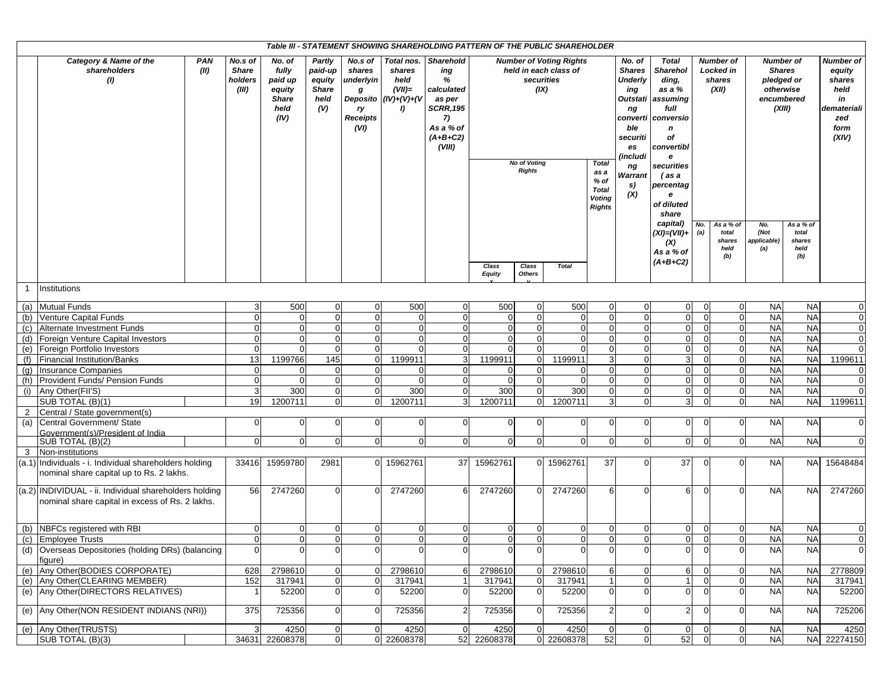| Table III - STATEMENT SHOWING SHAREHOLDING PATTERN OF THE PUBLIC SHAREHOLDER<br><b>Number of Voting Rights</b><br><b>Number of</b><br><b>Number of</b> |                                                                                                           |                                                                                                                                                                                                                                                                                                                                                                                                                                                                                                                                               |                |                            |                                                                                |                                                                                                                                       |                                                                                                                                                                                                                             |                        |                                           |                                                                         |                  |                                                                                    |                                               |             |                                |                            |                                |                |
|--------------------------------------------------------------------------------------------------------------------------------------------------------|-----------------------------------------------------------------------------------------------------------|-----------------------------------------------------------------------------------------------------------------------------------------------------------------------------------------------------------------------------------------------------------------------------------------------------------------------------------------------------------------------------------------------------------------------------------------------------------------------------------------------------------------------------------------------|----------------|----------------------------|--------------------------------------------------------------------------------|---------------------------------------------------------------------------------------------------------------------------------------|-----------------------------------------------------------------------------------------------------------------------------------------------------------------------------------------------------------------------------|------------------------|-------------------------------------------|-------------------------------------------------------------------------|------------------|------------------------------------------------------------------------------------|-----------------------------------------------|-------------|--------------------------------|----------------------------|--------------------------------|----------------|
|                                                                                                                                                        | <b>PAN</b><br>Category & Name of the<br>shareholders<br>(II)<br>$\left( 0\right)$                         | No.s of<br>No. of<br>Partly<br>No.s of<br>Total nos.<br><b>Sharehold</b><br>fully<br><b>Share</b><br>paid-up<br>shares<br>shares<br>held in each class of<br>ing<br>%<br>holders<br>paid up<br>equity<br>underlyin<br>held<br>securities<br>(IX)<br>(III)<br>equity<br><b>Share</b><br>$(VII)=$<br>calculated<br>g<br>Deposito $(IV)+(V)+(V)$<br><b>Share</b><br>as per<br>held<br>held<br>(V)<br><b>SCRR, 195</b><br>I)<br>ry<br>Receipts<br>(IV)<br>7)<br>As a % of<br>(VI)<br>$(A+B+C2)$<br>(VIII)<br><b>No of Voting</b><br><b>Rights</b> |                |                            | <b>Total</b><br>as a<br>% of<br><b>Total</b><br><b>Voting</b><br><b>Rights</b> | No. of<br><b>Shares</b><br><b>Underly</b><br>ing<br>Outstati<br>ng<br>ble<br>securiti<br>es<br>(includi<br>ng<br>Warrant<br>s)<br>(X) | <b>Total</b><br><b>Sharehol</b><br>ding,<br>as a %<br>assuming<br>full<br>converti conversio<br>$\mathbf n$<br>of<br>convertibl<br>e<br>securities<br>(as a<br>percentag<br>$\mathbf{e}$<br>of diluted<br>share<br>capital) | No.                    | Locked in<br>shares<br>(XII)<br>As a % of | <b>Shares</b><br>pledged or<br>otherwise<br>encumbered<br>(XIII)<br>No. | As a % of        | Number of<br>equity<br>shares<br>held<br>in<br>demateriali<br>zed<br>form<br>(XIV) |                                               |             |                                |                            |                                |                |
|                                                                                                                                                        |                                                                                                           |                                                                                                                                                                                                                                                                                                                                                                                                                                                                                                                                               |                |                            |                                                                                |                                                                                                                                       |                                                                                                                                                                                                                             | Class<br><b>Equity</b> | Class<br>Others                           | <b>Total</b>                                                            |                  |                                                                                    | (XI)=(VII)+<br>(X)<br>As a % of<br>$(A+B+C2)$ | (a)         | total<br>shares<br>held<br>(b) | (Not<br>applicable)<br>(a) | total<br>shares<br>held<br>(b) |                |
| -1                                                                                                                                                     | Institutions                                                                                              |                                                                                                                                                                                                                                                                                                                                                                                                                                                                                                                                               |                |                            |                                                                                |                                                                                                                                       |                                                                                                                                                                                                                             |                        |                                           |                                                                         |                  |                                                                                    |                                               |             |                                |                            |                                |                |
|                                                                                                                                                        | (a) Mutual Funds                                                                                          | 3                                                                                                                                                                                                                                                                                                                                                                                                                                                                                                                                             | 500            | $\overline{0}$             | $\Omega$                                                                       | 500                                                                                                                                   | $\mathbf 0$                                                                                                                                                                                                                 | 500                    | $\mathbf 0$                               | 500                                                                     | $\overline{0}$   | $\mathbf 0$                                                                        | $\overline{0}$                                |             | $\overline{0}$                 | <b>NA</b>                  | <b>NA</b>                      | $\mathbf 0$    |
| (b)                                                                                                                                                    | Venture Capital Funds                                                                                     | $\mathbf{0}$                                                                                                                                                                                                                                                                                                                                                                                                                                                                                                                                  | $\overline{0}$ | $\overline{0}$             | n                                                                              | $\Omega$                                                                                                                              | $\Omega$                                                                                                                                                                                                                    | $\mathbf 0$            | $\mathbf{0}$                              | $\Omega$                                                                | $\overline{0}$   | $\overline{0}$                                                                     | $\overline{0}$                                |             | $\Omega$                       | <b>NA</b>                  | $N_A$                          | $\mathbf 0$    |
| (c)                                                                                                                                                    | Alternate Investment Funds                                                                                | $\Omega$                                                                                                                                                                                                                                                                                                                                                                                                                                                                                                                                      | $\mathbf 0$    | $\Omega$                   | $\Omega$                                                                       | $\Omega$                                                                                                                              | $\Omega$                                                                                                                                                                                                                    | $\Omega$               | $\Omega$                                  | $\Omega$                                                                | $\Omega$         | $\Omega$                                                                           | $\overline{0}$                                |             | $\overline{0}$                 | <b>NA</b>                  | $N_A$                          | $\mathbf 0$    |
|                                                                                                                                                        | (d) Foreign Venture Capital Investors                                                                     | $\Omega$                                                                                                                                                                                                                                                                                                                                                                                                                                                                                                                                      | $\mathbf 0$    | $\overline{0}$             |                                                                                | $\Omega$                                                                                                                              | $\Omega$                                                                                                                                                                                                                    | $\mathbf 0$            | 0                                         | $\Omega$                                                                | $\overline{0}$   | $\Omega$                                                                           | $\mathbf 0$                                   |             | $\overline{0}$                 | <b>NA</b>                  | <b>NA</b>                      | $\mathbf 0$    |
|                                                                                                                                                        | (e) Foreign Portfolio Investors                                                                           | $\mathbf 0$                                                                                                                                                                                                                                                                                                                                                                                                                                                                                                                                   | $\Omega$       | $\mathbf 0$                | $\Omega$                                                                       | $\Omega$                                                                                                                              | $\Omega$                                                                                                                                                                                                                    | $\mathbf 0$            |                                           | $\Omega$                                                                | $\Omega$         | $\overline{0}$                                                                     | $\overline{0}$                                | 0           | $\overline{0}$                 | <b>NA</b>                  | <b>NA</b>                      | $\mathbf 0$    |
| (f)                                                                                                                                                    | Financial Institution/Banks                                                                               | 13                                                                                                                                                                                                                                                                                                                                                                                                                                                                                                                                            | 1199766        | 145                        | $\Omega$                                                                       | 1199911                                                                                                                               | 3                                                                                                                                                                                                                           | 1199911                | $\Omega$                                  | 1199911                                                                 | $\overline{3}$   | $\Omega$                                                                           | 3                                             |             | $\overline{0}$                 | <b>NA</b>                  | <b>NA</b>                      | 1199611        |
| (q)                                                                                                                                                    | <b>Insurance Companies</b>                                                                                | $\overline{0}$                                                                                                                                                                                                                                                                                                                                                                                                                                                                                                                                | $\overline{0}$ | $\Omega$                   | $\Omega$                                                                       | $\Omega$                                                                                                                              | $\overline{0}$                                                                                                                                                                                                              | 0                      | $\Omega$                                  | $\Omega$                                                                | $\overline{0}$   | $\overline{0}$                                                                     | $\overline{0}$                                | $\Omega$    | $\overline{0}$                 | <b>NA</b>                  | <b>NA</b>                      | $\overline{0}$ |
| (h)                                                                                                                                                    | Provident Funds/ Pension Funds                                                                            | $\mathbf 0$                                                                                                                                                                                                                                                                                                                                                                                                                                                                                                                                   | $\Omega$       | $\Omega$                   |                                                                                | $\Omega$                                                                                                                              | $\Omega$                                                                                                                                                                                                                    | $\mathbf 0$            | $\Omega$                                  | $\Omega$                                                                | $\Omega$         | $\overline{0}$                                                                     | $\overline{0}$                                |             | $\Omega$                       | <b>NA</b>                  | <b>NA</b>                      | $\mathbf 0$    |
|                                                                                                                                                        |                                                                                                           | 3                                                                                                                                                                                                                                                                                                                                                                                                                                                                                                                                             | 300            |                            | $\Omega$                                                                       | 300                                                                                                                                   | 0                                                                                                                                                                                                                           | 300                    | $\overline{0}$                            |                                                                         | $\overline{0}$   |                                                                                    | $\overline{0}$                                |             | $\overline{0}$                 | <b>NA</b>                  | <b>NA</b>                      | $\mathbf 0$    |
| (i)                                                                                                                                                    | Any Other(FII'S)                                                                                          | 19                                                                                                                                                                                                                                                                                                                                                                                                                                                                                                                                            | 1200711        | $\overline{0}$<br>$\Omega$ | $\Omega$                                                                       | 1200711                                                                                                                               | 3                                                                                                                                                                                                                           | 1200711                |                                           | 300<br>1200711                                                          | $\overline{3}$   | $\mathbf 0$<br>$\Omega$                                                            | 3                                             |             | $\Omega$                       | <b>NA</b>                  | <b>NA</b>                      |                |
|                                                                                                                                                        | SUB TOTAL (B)(1)                                                                                          |                                                                                                                                                                                                                                                                                                                                                                                                                                                                                                                                               |                |                            |                                                                                |                                                                                                                                       |                                                                                                                                                                                                                             |                        | $\overline{0}$                            |                                                                         |                  |                                                                                    |                                               |             |                                |                            |                                | 1199611        |
| 2                                                                                                                                                      | Central / State government(s)                                                                             |                                                                                                                                                                                                                                                                                                                                                                                                                                                                                                                                               |                |                            |                                                                                |                                                                                                                                       |                                                                                                                                                                                                                             |                        |                                           |                                                                         |                  |                                                                                    |                                               |             |                                |                            |                                |                |
|                                                                                                                                                        | (a) Central Government/ State                                                                             | $\mathbf 0$                                                                                                                                                                                                                                                                                                                                                                                                                                                                                                                                   | $\mathbf 0$    | $\overline{0}$             | $\Omega$                                                                       | $\Omega$                                                                                                                              | $\overline{0}$                                                                                                                                                                                                              | $\overline{0}$         | $\mathbf 0$                               | $\overline{0}$                                                          | $\overline{0}$   | $\mathbf 0$                                                                        | $\overline{0}$                                | O           | $\Omega$                       | <b>NA</b>                  | <b>NA</b>                      | $\mathbf 0$    |
|                                                                                                                                                        | Government(s)/President of India<br>SUB TOTAL (B)(2)                                                      | $\Omega$                                                                                                                                                                                                                                                                                                                                                                                                                                                                                                                                      | $\overline{0}$ | $\overline{0}$             | $\Omega$                                                                       | $\Omega$                                                                                                                              | $\mathbf 0$                                                                                                                                                                                                                 | $\overline{0}$         | $\mathbf{0}$                              | $\Omega$                                                                | $\Omega$         | $\mathbf{0}$                                                                       | $\overline{0}$                                |             | $\Omega$                       | <b>NA</b>                  | <b>NA</b>                      | $\mathbf 0$    |
| 3                                                                                                                                                      | Non-institutions                                                                                          |                                                                                                                                                                                                                                                                                                                                                                                                                                                                                                                                               |                |                            |                                                                                |                                                                                                                                       |                                                                                                                                                                                                                             |                        |                                           |                                                                         |                  |                                                                                    |                                               |             |                                |                            |                                |                |
|                                                                                                                                                        | (a.1) Individuals - i. Individual shareholders holding<br>nominal share capital up to Rs. 2 lakhs.        | 33416                                                                                                                                                                                                                                                                                                                                                                                                                                                                                                                                         | 15959780       | 2981                       |                                                                                | 0 15962761                                                                                                                            | 37                                                                                                                                                                                                                          | 15962761               | $\overline{0}$                            | 15962761                                                                | 37               | $\overline{0}$                                                                     | 37                                            |             |                                | <b>NA</b>                  | <b>NA</b>                      | 15648484       |
|                                                                                                                                                        | (a.2) INDIVIDUAL - ii. Individual shareholders holding<br>nominal share capital in excess of Rs. 2 lakhs. | 56                                                                                                                                                                                                                                                                                                                                                                                                                                                                                                                                            | 2747260        | $\Omega$                   |                                                                                | 2747260                                                                                                                               | 6                                                                                                                                                                                                                           | 2747260                |                                           | 2747260                                                                 | $6 \overline{6}$ | $\overline{0}$                                                                     | $6 \overline{6}$                              | $\Omega$    | $\Omega$                       | <b>NA</b>                  | <b>NA</b>                      | 2747260        |
|                                                                                                                                                        | (b) NBFCs registered with RBI                                                                             | $\overline{0}$                                                                                                                                                                                                                                                                                                                                                                                                                                                                                                                                | $\overline{0}$ | $\overline{0}$             | $\Omega$                                                                       | $\Omega$                                                                                                                              | $\overline{0}$                                                                                                                                                                                                              | $\overline{0}$         | $\mathbf 0$                               | $\Omega$                                                                | $\overline{0}$   | $\overline{0}$                                                                     | $\overline{0}$                                | $\Omega$    | $\overline{0}$                 | <b>NA</b>                  | <b>NA</b>                      | $\mathbf 0$    |
|                                                                                                                                                        | (c) Employee Trusts                                                                                       | $\Omega$                                                                                                                                                                                                                                                                                                                                                                                                                                                                                                                                      | $\Omega$       | $\Omega$                   | $\Omega$                                                                       | $\Omega$                                                                                                                              | $\overline{0}$                                                                                                                                                                                                              | $\Omega$               | $\Omega$                                  | $\Omega$                                                                | $\Omega$         | $\overline{0}$                                                                     | $\overline{0}$                                | $\Omega$    | $\overline{0}$                 | <b>NA</b>                  | <b>NA</b>                      | $\mathbf 0$    |
|                                                                                                                                                        | (d) Overseas Depositories (holding DRs) (balancing<br>figure)                                             | $\overline{0}$                                                                                                                                                                                                                                                                                                                                                                                                                                                                                                                                | $\overline{0}$ | $\overline{0}$             | $\overline{0}$                                                                 | $\Omega$                                                                                                                              | $\overline{0}$                                                                                                                                                                                                              | $\overline{0}$         | $\Omega$                                  | 0                                                                       | $\overline{0}$   | $\mathbf 0$                                                                        | $\overline{0}$                                | 0           | $\overline{0}$                 | <b>NA</b>                  | <b>NA</b>                      | $\mathbf 0$    |
|                                                                                                                                                        | (e) Any Other (BODIES CORPORATE)                                                                          | 628                                                                                                                                                                                                                                                                                                                                                                                                                                                                                                                                           | 2798610        | $\overline{0}$             | $\Omega$                                                                       | 2798610                                                                                                                               | 6                                                                                                                                                                                                                           | 2798610                | $\overline{0}$                            | 2798610                                                                 | $6 \overline{6}$ | $\overline{0}$                                                                     | 6                                             |             | $\overline{0}$                 | <b>NA</b>                  | <b>NA</b>                      | 2778809        |
|                                                                                                                                                        | (e) Any Other (CLEARING MEMBER)                                                                           | 152                                                                                                                                                                                                                                                                                                                                                                                                                                                                                                                                           | 317941         | $\overline{0}$             |                                                                                | 317941                                                                                                                                |                                                                                                                                                                                                                             | 317941                 |                                           | 317941                                                                  | 1                | 0                                                                                  |                                               |             | $\overline{0}$                 | <b>NA</b>                  | <b>NA</b>                      | 317941         |
|                                                                                                                                                        | (e) Any Other (DIRECTORS RELATIVES)                                                                       |                                                                                                                                                                                                                                                                                                                                                                                                                                                                                                                                               | 52200          | $\overline{0}$             | $\Omega$                                                                       | 52200                                                                                                                                 | 0                                                                                                                                                                                                                           | 52200                  | $\overline{0}$                            | 52200                                                                   | $\overline{0}$   | $\Omega$                                                                           | $\overline{0}$                                | -0          | $\overline{0}$                 | <b>NA</b>                  | <b>NA</b>                      | 52200          |
|                                                                                                                                                        | (e) Any Other (NON RESIDENT INDIANS (NRI))                                                                | 375                                                                                                                                                                                                                                                                                                                                                                                                                                                                                                                                           | 725356         | $\overline{0}$             | $\Omega$                                                                       | 725356                                                                                                                                | 2                                                                                                                                                                                                                           | 725356                 | $\mathbf 0$                               | 725356                                                                  | 2 <sub>1</sub>   | $\overline{0}$                                                                     | $\overline{2}$                                | $\Omega$    | $\Omega$                       | <b>NA</b>                  | <b>NA</b>                      | 725206         |
|                                                                                                                                                        | (e) Any Other(TRUSTS)                                                                                     | $\mathbf{3}$                                                                                                                                                                                                                                                                                                                                                                                                                                                                                                                                  | 4250           | $\overline{0}$             | $\overline{0}$                                                                 | 4250                                                                                                                                  | $\mathbf 0$                                                                                                                                                                                                                 | 4250                   | $\mathbf 0$                               | 4250                                                                    | $\overline{0}$   | $\mathbf 0$                                                                        | $\overline{0}$                                | $\mathbf 0$ | $\overline{0}$                 | <b>NA</b>                  | <b>NA</b>                      | 4250           |
|                                                                                                                                                        | SUB TOTAL (B)(3)                                                                                          |                                                                                                                                                                                                                                                                                                                                                                                                                                                                                                                                               | 34631 22608378 | $\overline{0}$             |                                                                                | 0 22608378                                                                                                                            | 52                                                                                                                                                                                                                          | 22608378               |                                           | 0 22608378                                                              | 52               | $\mathbf{0}$                                                                       | 52                                            | $\mathbf 0$ | $\overline{0}$                 | <b>NA</b>                  |                                | NA 22274150    |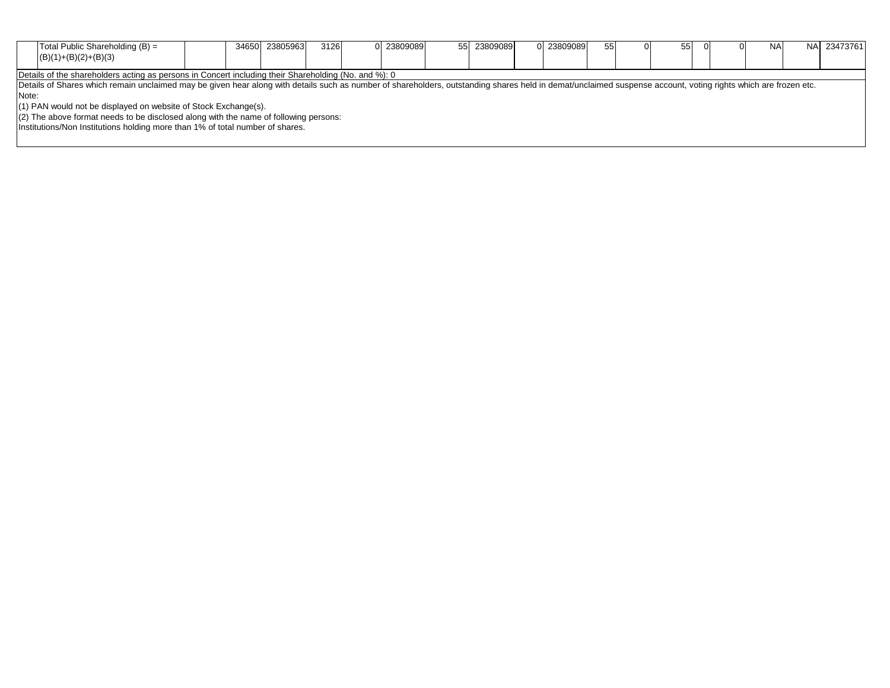| Total Public Shareholding (B) =<br>$(B)(1)+(B)(2)+(B)(3)$                                                                                                                                                      |                                                                                        | 34650 23805963 | 3126 | 0 23809089 | 55 23809089 | 0 23809089 | 55 |  | 55 | $\Omega$ | <b>NA</b> | NA 23473761 |  |  |
|----------------------------------------------------------------------------------------------------------------------------------------------------------------------------------------------------------------|----------------------------------------------------------------------------------------|----------------|------|------------|-------------|------------|----|--|----|----------|-----------|-------------|--|--|
| Details of the shareholders acting as persons in Concert including their Shareholding (No. and %): 0                                                                                                           |                                                                                        |                |      |            |             |            |    |  |    |          |           |             |  |  |
| Details of Shares which remain unclaimed may be given hear along with details such as number of shareholders, outstanding shares held in demat/unclaimed suspense account, voting rights which are frozen etc. |                                                                                        |                |      |            |             |            |    |  |    |          |           |             |  |  |
| Note:                                                                                                                                                                                                          |                                                                                        |                |      |            |             |            |    |  |    |          |           |             |  |  |
| (1) PAN would not be displayed on website of Stock Exchange(s).                                                                                                                                                |                                                                                        |                |      |            |             |            |    |  |    |          |           |             |  |  |
|                                                                                                                                                                                                                | $(2)$ The above format needs to be disclosed along with the name of following persons: |                |      |            |             |            |    |  |    |          |           |             |  |  |
| Institutions/Non Institutions holding more than 1% of total number of shares.                                                                                                                                  |                                                                                        |                |      |            |             |            |    |  |    |          |           |             |  |  |
|                                                                                                                                                                                                                |                                                                                        |                |      |            |             |            |    |  |    |          |           |             |  |  |